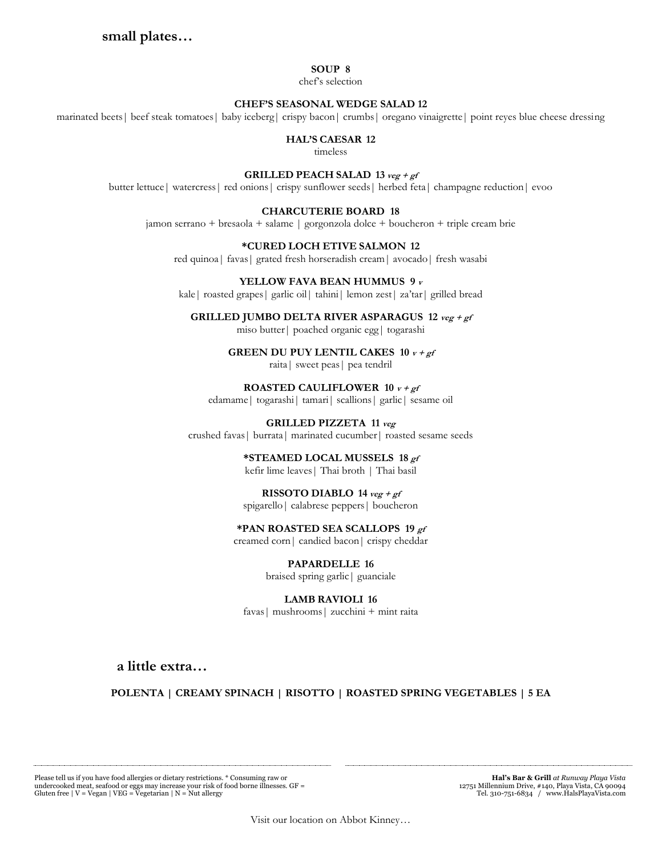# **small plates…**

#### **SOUP 8**

chef's selection

#### **CHEF'S SEASONAL WEDGE SALAD 12**

marinated beets| beef steak tomatoes| baby iceberg| crispy bacon| crumbs| oregano vinaigrette| point reyes blue cheese dressing

#### **HAL'S CAESAR 12**

timeless

#### **GRILLED PEACH SALAD 13 veg + gf**

butter lettuce| watercress| red onions| crispy sunflower seeds| herbed feta| champagne reduction| evoo

#### **CHARCUTERIE BOARD 18**

jamon serrano + bresaola + salame | gorgonzola dolce + boucheron + triple cream brie

## **\*CURED LOCH ETIVE SALMON 12**

red quinoa| favas| grated fresh horseradish cream| avocado| fresh wasabi

#### **YELLOW FAVA BEAN HUMMUS 9 <sup>v</sup>**

kale| roasted grapes| garlic oil| tahini| lemon zest| za'tar| grilled bread

#### **GRILLED JUMBO DELTA RIVER ASPARAGUS 12 veg + gf**  miso butter| poached organic egg| togarashi

**GREEN DU PUY LENTIL CAKES 10 v + gf**

raita| sweet peas| pea tendril

**ROASTED CAULIFLOWER 10 v + gf**

edamame| togarashi| tamari| scallions| garlic| sesame oil

#### **GRILLED PIZZETA 11 veg** crushed favas| burrata| marinated cucumber| roasted sesame seeds

**\*STEAMED LOCAL MUSSELS 18 gf**

kefir lime leaves| Thai broth | Thai basil

### **RISSOTO DIABLO**  $14 \text{ veg} + \text{gf}$

spigarello| calabrese peppers| boucheron

## **\*PAN ROASTED SEA SCALLOPS 19 gf**

creamed corn| candied bacon| crispy cheddar

**PAPARDELLE 16** braised spring garlic| guanciale

### **LAMB RAVIOLI 16**

favas| mushrooms| zucchini + mint raita

**a little extra…**

## **POLENTA | CREAMY SPINACH | RISOTTO | ROASTED SPRING VEGETABLES | 5 EA**

Please tell us if you have food allergies or dietary restrictions. \* Consuming raw or undercooked meat, seafood or eggs may increase your risk of food borne illnesses. GF = Gluten free | V = Vegan | VEG = Vegetarian | N = Nut allergy

 **Hal's Bar & Grill** *at Runway Playa Vista* 12751 Millennium Drive, #140, Playa Vista, CA 90094 Tel. 310-751-6834 / www.HalsPlayaVista.com

Visit our location on Abbot Kinney…